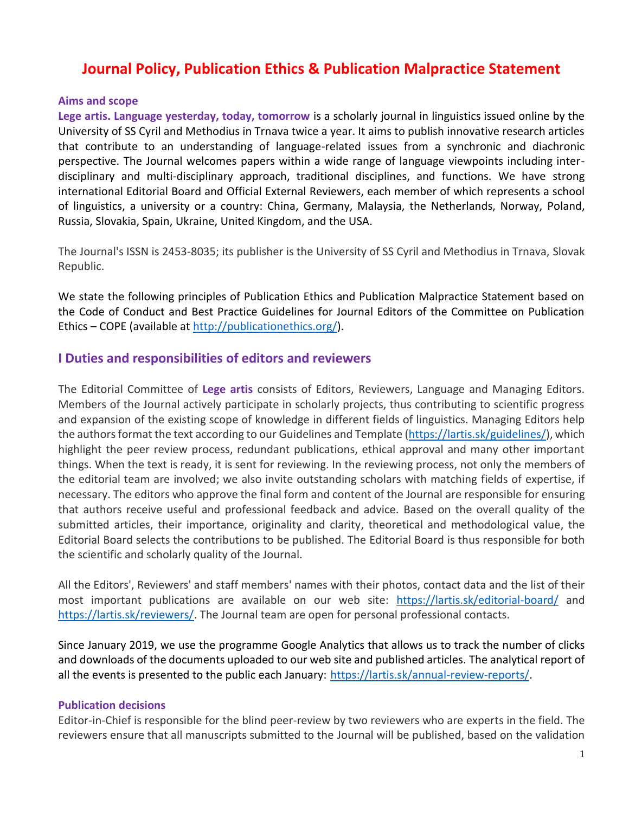# **Journal Policy, Publication Ethics & Publication Malpractice Statement**

#### **Aims and scope**

**Lege artis. Language yesterday, today, tomorrow** is a scholarly journal in linguistics issued online by the University of SS Cyril and Methodius in Trnava twice a year. It aims to publish innovative research articles that contribute to an understanding of language-related issues from a synchronic and diachronic perspective. The Journal welcomes papers within a wide range of language viewpoints including interdisciplinary and multi-disciplinary approach, traditional disciplines, and functions. We have strong international Editorial Board and Official External Reviewers, each member of which represents a school of linguistics, a university or a country: China, Germany, Malaysia, the Netherlands, Norway, Poland, Russia, Slovakia, Spain, Ukraine, United Kingdom, and the USA.

The Journal's ISSN is 2453-8035; its publisher is the University of SS Cyril and Methodius in Trnava, Slovak Republic.

We state the following principles of Publication Ethics and Publication Malpractice Statement based on the Code of Conduct and Best Practice Guidelines for Journal Editors of the Committee on Publication Ethics – COPE (available at [http://publicationethics.org/\)](http://publicationethics.org/).

## **I Duties and responsibilities of editors and reviewers**

The Editorial Committee of **Lege artis** consists of Editors, Reviewers, Language and Managing Editors. Members of the Journal actively participate in scholarly projects, thus contributing to scientific progress and expansion of the existing scope of knowledge in different fields of linguistics. Managing Editors help the authors format the text according to our Guidelines and Template [\(https://lartis.sk/guidelines/\)](https://lartis.sk/guidelines/), which highlight the peer review process, redundant publications, ethical approval and many other important things. When the text is ready, it is sent for reviewing. In the reviewing process, not only the members of the editorial team are involved; we also invite outstanding scholars with matching fields of expertise, if necessary. The editors who approve the final form and content of the Journal are responsible for ensuring that authors receive useful and professional feedback and advice. Based on the overall quality of the submitted articles, their importance, originality and clarity, theoretical and methodological value, the Editorial Board selects the contributions to be published. The Editorial Board is thus responsible for both the scientific and scholarly quality of the Journal.

All the Editors', Reviewers' and staff members' names with their photos, contact data and the list of their most important publications are available on our web site: <https://lartis.sk/editorial-board/> and [https://lartis.sk/reviewers/.](https://lartis.sk/reviewers/) The Journal team are open for personal professional contacts.

Since January 2019, we use the programme Google Analytics that allows us to track the number of clicks and downloads of the documents uploaded to our web site and published articles. The analytical report of all the events is presented to the public each January: [https://lartis.sk/annual-review-reports/.](https://lartis.sk/annual-review-reports/)

#### **Publication decisions**

Editor-in-Chief is responsible for the blind peer-review by two reviewers who are experts in the field. The reviewers ensure that all manuscripts submitted to the Journal will be published, based on the validation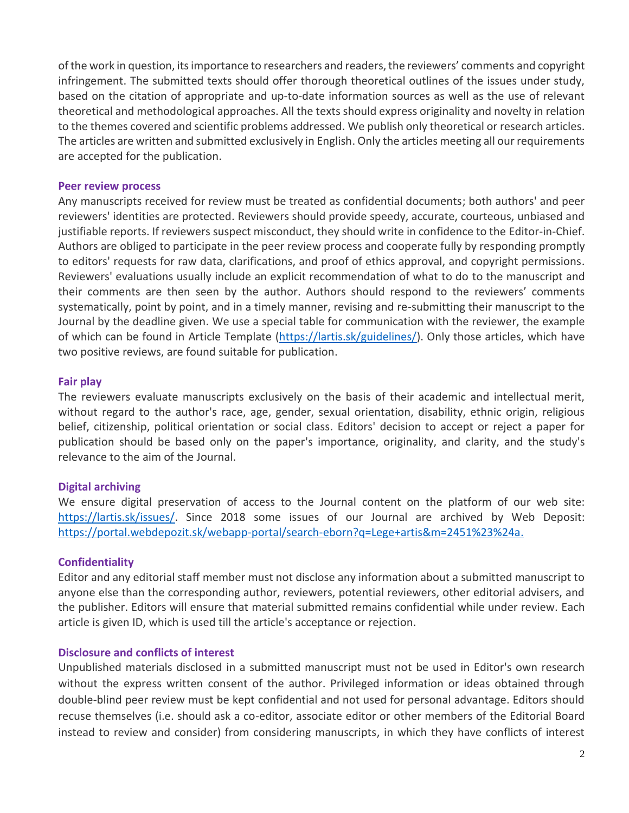of the work in question, its importance to researchers and readers, the reviewers' comments and copyright infringement. The submitted texts should offer thorough theoretical outlines of the issues under study, based on the citation of appropriate and up-to-date information sources as well as the use of relevant theoretical and methodological approaches. All the texts should express originality and novelty in relation to the themes covered and scientific problems addressed. We publish only theoretical or research articles. The articles are written and submitted exclusively in English. Only the articles meeting all our requirements are accepted for the publication.

#### **Peer review process**

Any manuscripts received for review must be treated as confidential documents; both authors' and peer reviewers' identities are protected. Reviewers should provide speedy, accurate, courteous, unbiased and justifiable reports. If reviewers suspect misconduct, they should write in confidence to the Editor-in-Chief. Authors are obliged to participate in the peer review process and cooperate fully by responding promptly to editors' requests for raw data, clarifications, and proof of ethics approval, and copyright permissions. Reviewers' evaluations usually include an explicit recommendation of what to do to the manuscript and their comments are then seen by the author. Authors should respond to the reviewers' comments systematically, point by point, and in a timely manner, revising and re-submitting their manuscript to the Journal by the deadline given. We use a special table for communication with the reviewer, the example of which can be found in Article Template [\(https://lartis.sk/guidelines/\)](https://lartis.sk/guidelines/). Only those articles, which have two positive reviews, are found suitable for publication.

#### **Fair play**

The reviewers evaluate manuscripts exclusively on the basis of their academic and intellectual merit, without regard to the author's race, age, gender, sexual orientation, disability, ethnic origin, religious belief, citizenship, political orientation or social class. Editors' decision to accept or reject a paper for publication should be based only on the paper's importance, originality, and clarity, and the study's relevance to the aim of the Journal.

#### **Digital archiving**

We ensure digital preservation of access to the Journal content on the platform of our web site: [https://lartis.sk/issues/.](https://lartis.sk/issues/) Since 2018 some issues of our Journal are archived by Web Deposit: [https://portal.webdepozit.sk/webapp-portal/search-eborn?q=Lege+artis&m=2451%23%24a.](https://portal.webdepozit.sk/webapp-portal/search-eborn?q=Lege+artis&m=2451%23%24a)

#### **Confidentiality**

Editor and any editorial staff member must not disclose any information about a submitted manuscript to anyone else than the corresponding author, reviewers, potential reviewers, other editorial advisers, and the publisher. Editors will ensure that material submitted remains confidential while under review. Each article is given ID, which is used till the article's acceptance or rejection.

#### **Disclosure and conflicts of interest**

Unpublished materials disclosed in a submitted manuscript must not be used in Editor's own research without the express written consent of the author. Privileged information or ideas obtained through double-blind peer review must be kept confidential and not used for personal advantage. Editors should recuse themselves (i.e. should ask a co-editor, associate editor or other members of the Editorial Board instead to review and consider) from considering manuscripts, in which they have conflicts of interest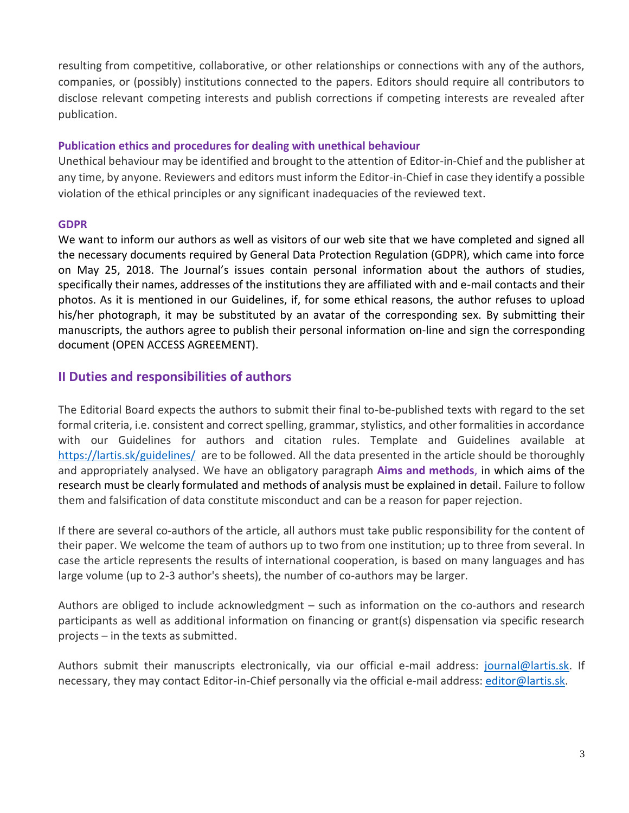resulting from competitive, collaborative, or other relationships or connections with any of the authors, companies, or (possibly) institutions connected to the papers. Editors should require all contributors to disclose relevant competing interests and publish corrections if competing interests are revealed after publication.

#### **Publication ethics and procedures for dealing with unethical behaviour**

Unethical behaviour may be identified and brought to the attention of Editor-in-Chief and the publisher at any time, by anyone. Reviewers and editors must inform the Editor-in-Chief in case they identify a possible violation of the ethical principles or any significant inadequacies of the reviewed text.

#### **GDPR**

We want to inform our authors as well as visitors of our web site that we have completed and signed all the necessary documents required by General Data Protection Regulation (GDPR), which came into force on May 25, 2018. The Journal's issues contain personal information about the authors of studies, specifically their names, addresses of the institutions they are affiliated with and e-mail contacts and their photos. As it is mentioned in our Guidelines, if, for some ethical reasons, the author refuses to upload his/her photograph, it may be substituted by an avatar of the corresponding sex. By submitting their manuscripts, the authors agree to publish their personal information on-line and sign the corresponding document (OPEN ACCESS AGREEMENT).

# **II Duties and responsibilities of authors**

The Editorial Board expects the authors to submit their final to-be-published texts with regard to the set formal criteria, i.e. consistent and correct spelling, grammar, stylistics, and other formalities in accordance with our Guidelines for authors and citation rules. Template and Guidelines available at <https://lartis.sk/guidelines/>are to be followed. All the data presented in the article should be thoroughly and appropriately analysed. We have an obligatory paragraph **Aims and methods**, in which aims of the research must be clearly formulated and methods of analysis must be explained in detail. Failure to follow them and falsification of data constitute misconduct and can be a reason for paper rejection.

If there are several co-authors of the article, all authors must take public responsibility for the content of their paper. We welcome the team of authors up to two from one institution; up to three from several. In case the article represents the results of international cooperation, is based on many languages and has large volume (up to 2-3 author's sheets), the number of co-authors may be larger.

Authors are obliged to include acknowledgment – such as information on the co-authors and research participants as well as additional information on financing or grant(s) dispensation via specific research projects – in the texts as submitted.

Authors submit their manuscripts electronically, via our official e-mail address: [journal@lartis.sk.](mailto:journal@lartis.sk) If necessary, they may contact Editor-in-Chief personally via the official e-mail address[: editor@lartis.sk.](mailto:editor@lartis.sk)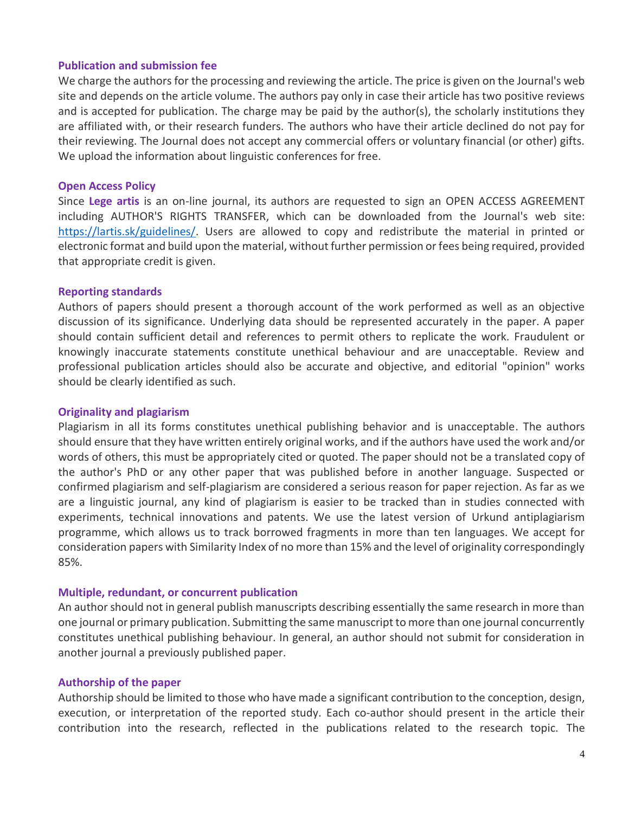#### **Publication and submission fee**

We charge the authors for the processing and reviewing the article. The price is given on the Journal's web site and depends on the article volume. The authors pay only in case their article has two positive reviews and is accepted for publication. The charge may be paid by the author(s), the scholarly institutions they are affiliated with, or their research funders. The authors who have their article declined do not pay for their reviewing. The Journal does not accept any commercial offers or voluntary financial (or other) gifts. We upload the information about linguistic conferences for free.

#### **Open Access Policy**

Since **Lege artis** is an on-line journal, its authors are requested to sign an OPEN ACCESS AGREEMENT including AUTHOR'S RIGHTS TRANSFER, which can be downloaded from the Journal's web site: [https://lartis.sk/guidelines/.](https://lartis.sk/guidelines/) Users are allowed to copy and redistribute the material in printed or electronic format and build upon the material, without further permission or fees being required, provided that appropriate credit is given.

#### **Reporting standards**

Authors of papers should present a thorough account of the work performed as well as an objective discussion of its significance. Underlying data should be represented accurately in the paper. A paper should contain sufficient detail and references to permit others to replicate the work. Fraudulent or knowingly inaccurate statements constitute unethical behaviour and are unacceptable. Review and professional publication articles should also be accurate and objective, and editorial "opinion" works should be clearly identified as such.

#### **Originality and plagiarism**

Plagiarism in all its forms constitutes unethical publishing behavior and is unacceptable. The authors should ensure that they have written entirely original works, and if the authors have used the work and/or words of others, this must be appropriately cited or quoted. The paper should not be a translated copy of the author's PhD or any other paper that was published before in another language. Suspected or confirmed plagiarism and self-plagiarism are considered a serious reason for paper rejection. As far as we are a linguistic journal, any kind of plagiarism is easier to be tracked than in studies connected with experiments, technical innovations and patents. We use the latest version of Urkund antiplagiarism programme, which allows us to track borrowed fragments in more than ten languages. We accept for consideration papers with Similarity Index of no more than 15% and the level of originality correspondingly 85%.

#### **Multiple, redundant, or concurrent publication**

An author should not in general publish manuscripts describing essentially the same research in more than one journal or primary publication. Submitting the same manuscript to more than one journal concurrently constitutes unethical publishing behaviour. In general, an author should not submit for consideration in another journal a previously published paper.

#### **Authorship of the paper**

Authorship should be limited to those who have made a significant contribution to the conception, design, execution, or interpretation of the reported study. Each co-author should present in the article their contribution into the research, reflected in the publications related to the research topic. The